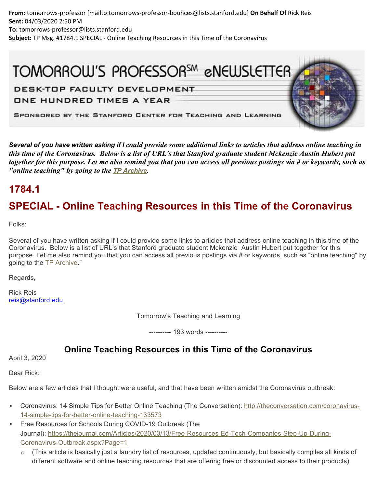**From:** tomorrows-professor [mailto:tomorrows-professor-bounces@lists.stanford.edu] **On Behalf Of** Rick Reis **Sent:** 04/03/2020 2:50 PM **To:** tomorrows-professor@lists.stanford.edu **Subject:** TP Msg. #1784.1 SPECIAL - Online Teaching Resources in this Time of the Coronavirus

## TOMORROW'S PROFESSOR<sup>SM</sup> eNEWSLETTER

DESK-TOP FACULTY DEVELOPMENT

ONE HUNDRED TIMES A YEAR

SPONSORED BY THE STANFORD CENTER FOR TEACHING AND LEARNING

*Several of you have written asking if I could provide some additional links to articles that address online teaching in this time of the Coronavirus. Below is a list of URL's that Stanford graduate student Mckenzie Austin Hubert put together for this purpose. Let me also remind you that you can access all previous postings via # or keywords, such as "online teaching" by going to the [TP Archive.](https://nam05.safelinks.protection.outlook.com/?url=https%3A%2F%2Ftomprof.stanford.edu%2F&data=02%7C01%7Cjoeg%40pitt.edu%7Cddbe442e2b0e47a1bf9008d7d8001a1b%7C9ef9f489e0a04eeb87cc3a526112fd0d%7C1%7C1%7C637215367257756397&sdata=FExOolCY3vLxlewKQmcGNTU1T5dS4vRWASOOnadD%2Fiw%3D&reserved=0)*

## **1784.1**

## **SPECIAL - Online Teaching Resources in this Time of the Coronavirus**

Folks:

Several of you have written asking if I could provide some links to articles that address online teaching in this time of the Coronavirus. Below is a list of URL's that Stanford graduate student Mckenzie Austin Hubert put together for this purpose. Let me also remind you that you can access all previous postings via # or keywords, such as "online teaching" by going to the [TP Archive.](https://nam05.safelinks.protection.outlook.com/?url=https%3A%2F%2Ftomprof.stanford.edu%2F&data=02%7C01%7Cjoeg%40pitt.edu%7Cddbe442e2b0e47a1bf9008d7d8001a1b%7C9ef9f489e0a04eeb87cc3a526112fd0d%7C1%7C1%7C637215367257756397&sdata=FExOolCY3vLxlewKQmcGNTU1T5dS4vRWASOOnadD%2Fiw%3D&reserved=0)"

Regards,

Rick Reis [reis@stanford.edu](mailto:reis@stanford.edu)

Tomorrow's Teaching and Learning

---------- 193 words ----------

## **Online Teaching Resources in this Time of the Coronavirus**

April 3, 2020

Dear Rick:

Below are a few articles that I thought were useful, and that have been written amidst the Coronavirus outbreak:

- Coronavirus: 14 Simple Tips for Better Online Teaching (The Conversation): [http://theconversation.com/coronavirus-](https://nam05.safelinks.protection.outlook.com/?url=http%3A%2F%2Ftheconversation.com%2Fcoronavirus-14-simple-tips-for-better-online-teaching-133573&data=02%7C01%7Cjoeg%40pitt.edu%7Cddbe442e2b0e47a1bf9008d7d8001a1b%7C9ef9f489e0a04eeb87cc3a526112fd0d%7C1%7C1%7C637215367257766385&sdata=eJBTYGl8kFVd4OITlPDnn4rO4XEZXFTy1K1J8D9FSpU%3D&reserved=0)[14-simple-tips-for-better-online-teaching-133573](https://nam05.safelinks.protection.outlook.com/?url=http%3A%2F%2Ftheconversation.com%2Fcoronavirus-14-simple-tips-for-better-online-teaching-133573&data=02%7C01%7Cjoeg%40pitt.edu%7Cddbe442e2b0e47a1bf9008d7d8001a1b%7C9ef9f489e0a04eeb87cc3a526112fd0d%7C1%7C1%7C637215367257766385&sdata=eJBTYGl8kFVd4OITlPDnn4rO4XEZXFTy1K1J8D9FSpU%3D&reserved=0)
- Free Resources for Schools During COVID-19 Outbreak (The Journal): [https://thejournal.com/Articles/2020/03/13/Free-Resources-Ed-Tech-Companies-Step-Up-During-](https://nam05.safelinks.protection.outlook.com/?url=https%3A%2F%2Fthejournal.com%2FArticles%2F2020%2F03%2F13%2FFree-Resources-Ed-Tech-Companies-Step-Up-During-Coronavirus-Outbreak.aspx%3FPage%3D1&data=02%7C01%7Cjoeg%40pitt.edu%7Cddbe442e2b0e47a1bf9008d7d8001a1b%7C9ef9f489e0a04eeb87cc3a526112fd0d%7C1%7C1%7C637215367257766385&sdata=wrfXCwGg7Cghau%2FqqlD3nx%2BPPbqKrO97bgAV0nWt8Qg%3D&reserved=0)[Coronavirus-Outbreak.aspx?Page=1](https://nam05.safelinks.protection.outlook.com/?url=https%3A%2F%2Fthejournal.com%2FArticles%2F2020%2F03%2F13%2FFree-Resources-Ed-Tech-Companies-Step-Up-During-Coronavirus-Outbreak.aspx%3FPage%3D1&data=02%7C01%7Cjoeg%40pitt.edu%7Cddbe442e2b0e47a1bf9008d7d8001a1b%7C9ef9f489e0a04eeb87cc3a526112fd0d%7C1%7C1%7C637215367257766385&sdata=wrfXCwGg7Cghau%2FqqlD3nx%2BPPbqKrO97bgAV0nWt8Qg%3D&reserved=0)
	- $\circ$  (This article is basically just a laundry list of resources, updated continuously, but basically compiles all kinds of different software and online teaching resources that are offering free or discounted access to their products)